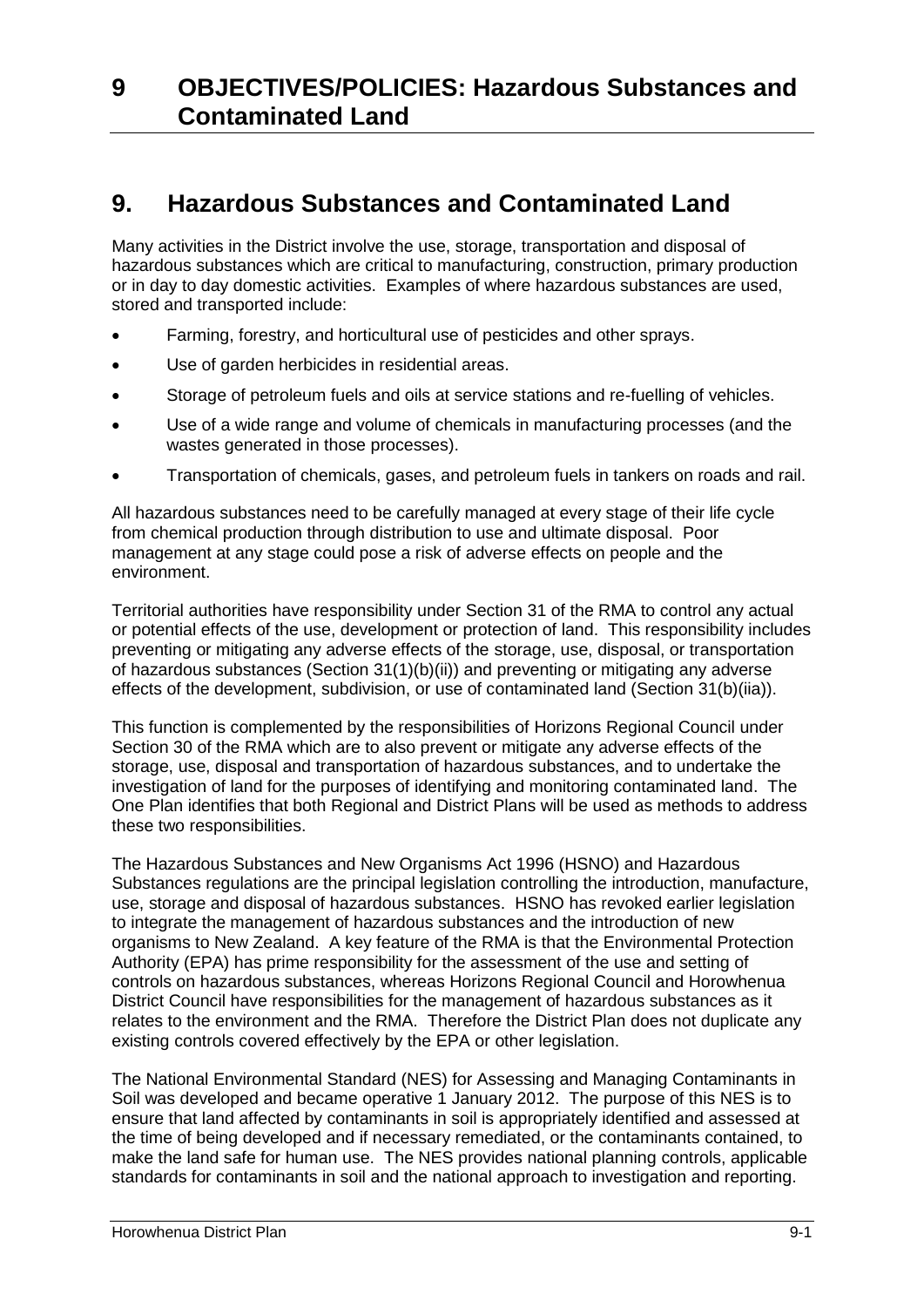# **9. Hazardous Substances and Contaminated Land**

Many activities in the District involve the use, storage, transportation and disposal of hazardous substances which are critical to manufacturing, construction, primary production or in day to day domestic activities. Examples of where hazardous substances are used, stored and transported include:

- Farming, forestry, and horticultural use of pesticides and other sprays.
- Use of garden herbicides in residential areas.
- Storage of petroleum fuels and oils at service stations and re-fuelling of vehicles.
- Use of a wide range and volume of chemicals in manufacturing processes (and the wastes generated in those processes).
- Transportation of chemicals, gases, and petroleum fuels in tankers on roads and rail.

All hazardous substances need to be carefully managed at every stage of their life cycle from chemical production through distribution to use and ultimate disposal. Poor management at any stage could pose a risk of adverse effects on people and the environment.

Territorial authorities have responsibility under Section 31 of the RMA to control any actual or potential effects of the use, development or protection of land. This responsibility includes preventing or mitigating any adverse effects of the storage, use, disposal, or transportation of hazardous substances (Section 31(1)(b)(ii)) and preventing or mitigating any adverse effects of the development, subdivision, or use of contaminated land (Section 31(b)(iia)).

This function is complemented by the responsibilities of Horizons Regional Council under Section 30 of the RMA which are to also prevent or mitigate any adverse effects of the storage, use, disposal and transportation of hazardous substances, and to undertake the investigation of land for the purposes of identifying and monitoring contaminated land. The One Plan identifies that both Regional and District Plans will be used as methods to address these two responsibilities.

The Hazardous Substances and New Organisms Act 1996 (HSNO) and Hazardous Substances regulations are the principal legislation controlling the introduction, manufacture, use, storage and disposal of hazardous substances. HSNO has revoked earlier legislation to integrate the management of hazardous substances and the introduction of new organisms to New Zealand. A key feature of the RMA is that the Environmental Protection Authority (EPA) has prime responsibility for the assessment of the use and setting of controls on hazardous substances, whereas Horizons Regional Council and Horowhenua District Council have responsibilities for the management of hazardous substances as it relates to the environment and the RMA. Therefore the District Plan does not duplicate any existing controls covered effectively by the EPA or other legislation.

The National Environmental Standard (NES) for Assessing and Managing Contaminants in Soil was developed and became operative 1 January 2012. The purpose of this NES is to ensure that land affected by contaminants in soil is appropriately identified and assessed at the time of being developed and if necessary remediated, or the contaminants contained, to make the land safe for human use. The NES provides national planning controls, applicable standards for contaminants in soil and the national approach to investigation and reporting.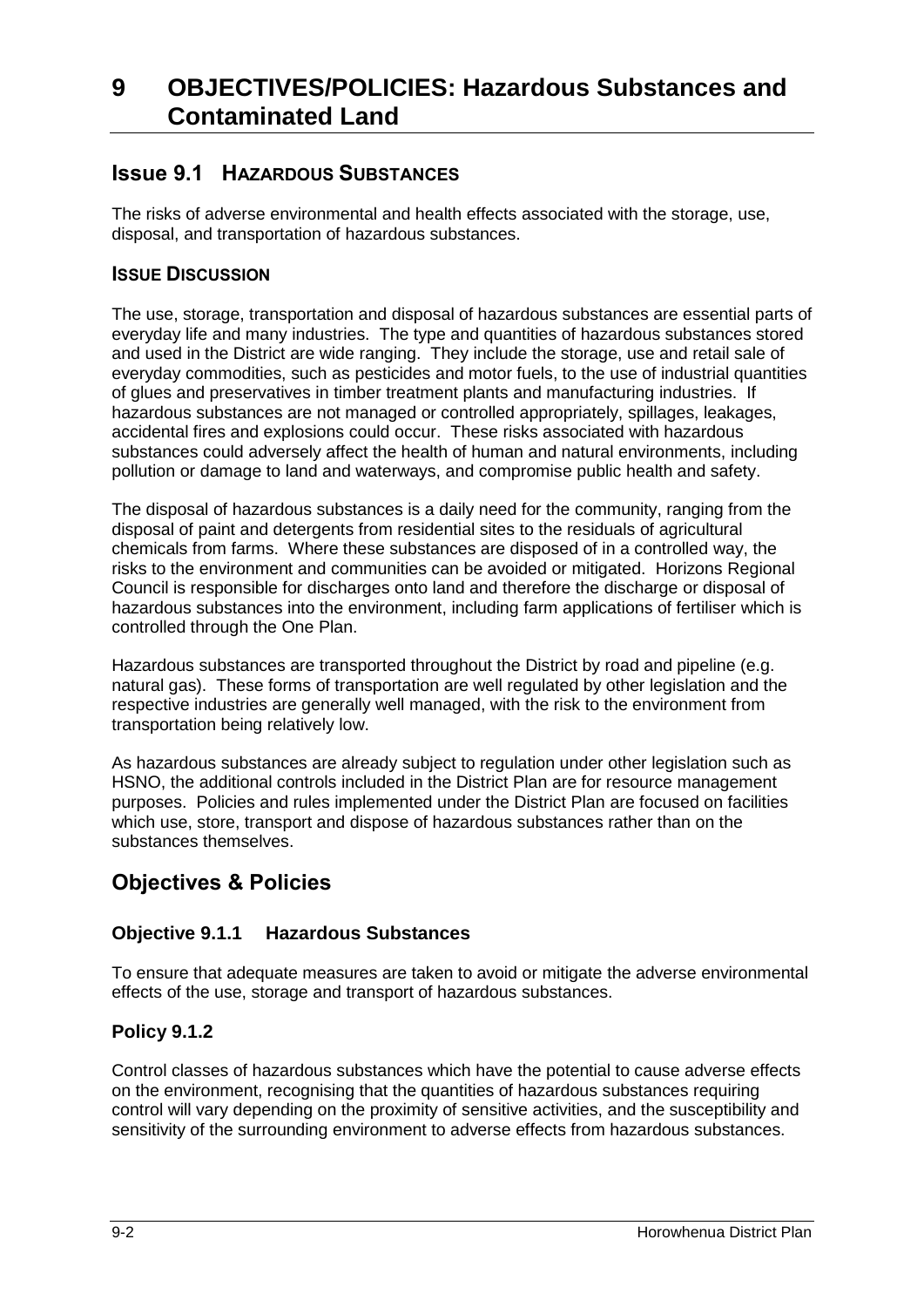## **Issue 9.1 HAZARDOUS SUBSTANCES**

The risks of adverse environmental and health effects associated with the storage, use, disposal, and transportation of hazardous substances.

## **ISSUE DISCUSSION**

The use, storage, transportation and disposal of hazardous substances are essential parts of everyday life and many industries. The type and quantities of hazardous substances stored and used in the District are wide ranging. They include the storage, use and retail sale of everyday commodities, such as pesticides and motor fuels, to the use of industrial quantities of glues and preservatives in timber treatment plants and manufacturing industries. If hazardous substances are not managed or controlled appropriately, spillages, leakages, accidental fires and explosions could occur. These risks associated with hazardous substances could adversely affect the health of human and natural environments, including pollution or damage to land and waterways, and compromise public health and safety.

The disposal of hazardous substances is a daily need for the community, ranging from the disposal of paint and detergents from residential sites to the residuals of agricultural chemicals from farms. Where these substances are disposed of in a controlled way, the risks to the environment and communities can be avoided or mitigated. Horizons Regional Council is responsible for discharges onto land and therefore the discharge or disposal of hazardous substances into the environment, including farm applications of fertiliser which is controlled through the One Plan.

Hazardous substances are transported throughout the District by road and pipeline (e.g. natural gas). These forms of transportation are well regulated by other legislation and the respective industries are generally well managed, with the risk to the environment from transportation being relatively low.

As hazardous substances are already subject to regulation under other legislation such as HSNO, the additional controls included in the District Plan are for resource management purposes. Policies and rules implemented under the District Plan are focused on facilities which use, store, transport and dispose of hazardous substances rather than on the substances themselves.

# **Objectives & Policies**

## **Objective 9.1.1 Hazardous Substances**

To ensure that adequate measures are taken to avoid or mitigate the adverse environmental effects of the use, storage and transport of hazardous substances.

## **Policy 9.1.2**

Control classes of hazardous substances which have the potential to cause adverse effects on the environment, recognising that the quantities of hazardous substances requiring control will vary depending on the proximity of sensitive activities, and the susceptibility and sensitivity of the surrounding environment to adverse effects from hazardous substances.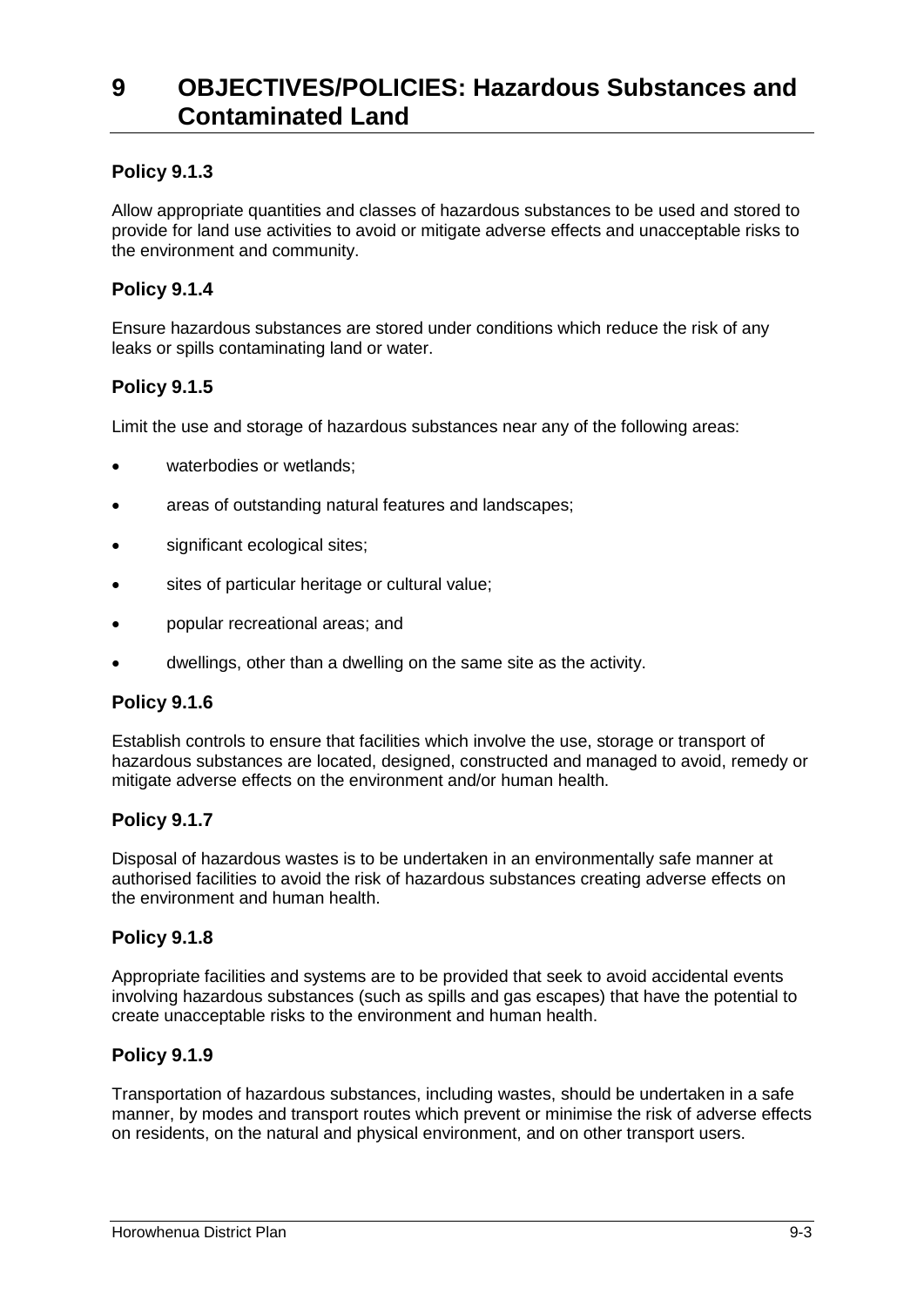## **Policy 9.1.3**

Allow appropriate quantities and classes of hazardous substances to be used and stored to provide for land use activities to avoid or mitigate adverse effects and unacceptable risks to the environment and community.

### **Policy 9.1.4**

Ensure hazardous substances are stored under conditions which reduce the risk of any leaks or spills contaminating land or water.

### **Policy 9.1.5**

Limit the use and storage of hazardous substances near any of the following areas:

- waterbodies or wetlands;
- areas of outstanding natural features and landscapes;
- significant ecological sites;
- sites of particular heritage or cultural value;
- popular recreational areas; and
- dwellings, other than a dwelling on the same site as the activity.

### **Policy 9.1.6**

Establish controls to ensure that facilities which involve the use, storage or transport of hazardous substances are located, designed, constructed and managed to avoid, remedy or mitigate adverse effects on the environment and/or human health.

### **Policy 9.1.7**

Disposal of hazardous wastes is to be undertaken in an environmentally safe manner at authorised facilities to avoid the risk of hazardous substances creating adverse effects on the environment and human health.

### **Policy 9.1.8**

Appropriate facilities and systems are to be provided that seek to avoid accidental events involving hazardous substances (such as spills and gas escapes) that have the potential to create unacceptable risks to the environment and human health.

### **Policy 9.1.9**

Transportation of hazardous substances, including wastes, should be undertaken in a safe manner, by modes and transport routes which prevent or minimise the risk of adverse effects on residents, on the natural and physical environment, and on other transport users.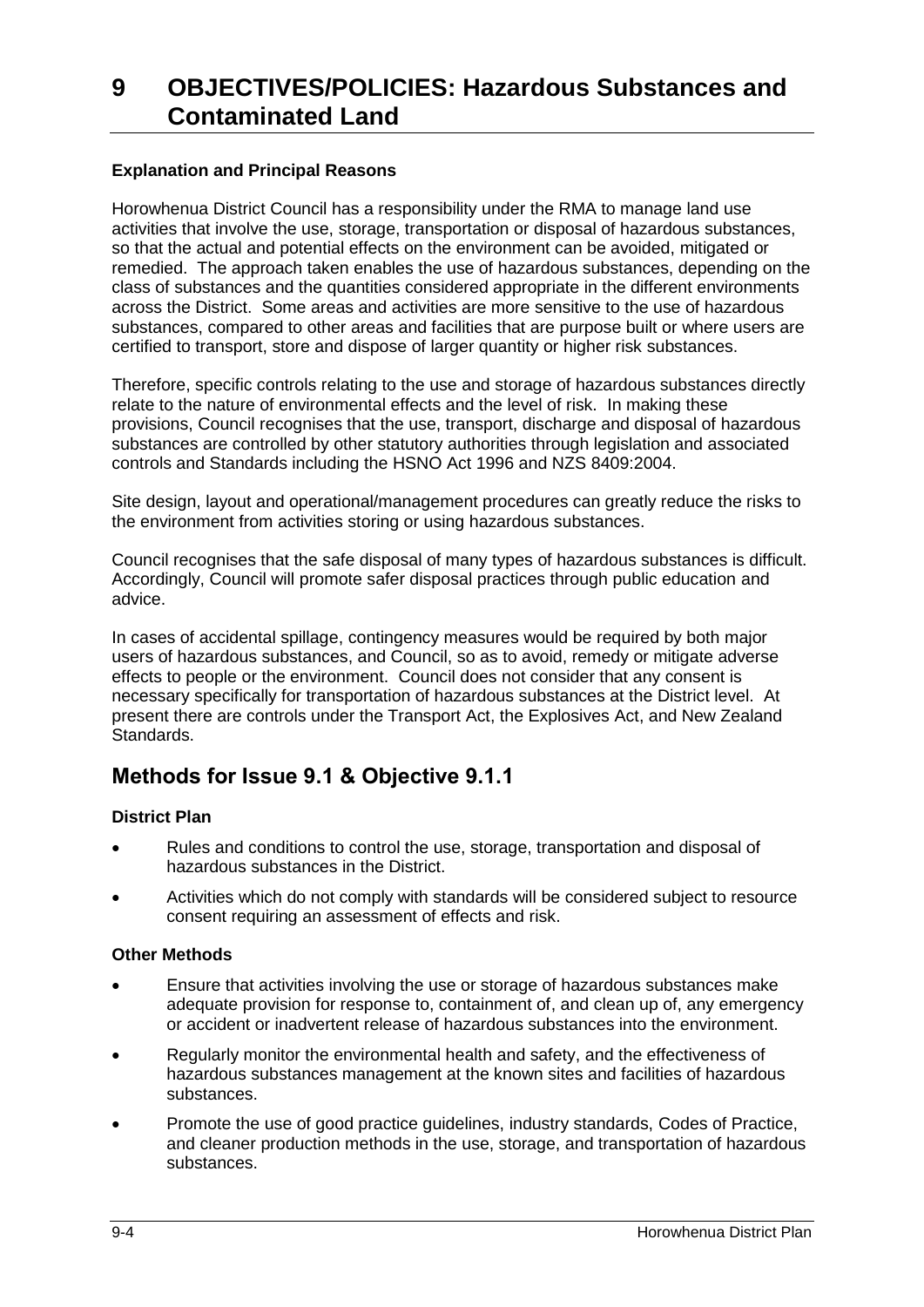#### **Explanation and Principal Reasons**

Horowhenua District Council has a responsibility under the RMA to manage land use activities that involve the use, storage, transportation or disposal of hazardous substances, so that the actual and potential effects on the environment can be avoided, mitigated or remedied. The approach taken enables the use of hazardous substances, depending on the class of substances and the quantities considered appropriate in the different environments across the District. Some areas and activities are more sensitive to the use of hazardous substances, compared to other areas and facilities that are purpose built or where users are certified to transport, store and dispose of larger quantity or higher risk substances.

Therefore, specific controls relating to the use and storage of hazardous substances directly relate to the nature of environmental effects and the level of risk. In making these provisions, Council recognises that the use, transport, discharge and disposal of hazardous substances are controlled by other statutory authorities through legislation and associated controls and Standards including the HSNO Act 1996 and NZS 8409:2004.

Site design, layout and operational/management procedures can greatly reduce the risks to the environment from activities storing or using hazardous substances.

Council recognises that the safe disposal of many types of hazardous substances is difficult. Accordingly, Council will promote safer disposal practices through public education and advice.

In cases of accidental spillage, contingency measures would be required by both major users of hazardous substances, and Council, so as to avoid, remedy or mitigate adverse effects to people or the environment. Council does not consider that any consent is necessary specifically for transportation of hazardous substances at the District level. At present there are controls under the Transport Act, the Explosives Act, and New Zealand Standards.

## **Methods for Issue 9.1 & Objective 9.1.1**

#### **District Plan**

- Rules and conditions to control the use, storage, transportation and disposal of hazardous substances in the District.
- Activities which do not comply with standards will be considered subject to resource consent requiring an assessment of effects and risk.

#### **Other Methods**

- Ensure that activities involving the use or storage of hazardous substances make adequate provision for response to, containment of, and clean up of, any emergency or accident or inadvertent release of hazardous substances into the environment.
- Regularly monitor the environmental health and safety, and the effectiveness of hazardous substances management at the known sites and facilities of hazardous substances.
- Promote the use of good practice guidelines, industry standards, Codes of Practice, and cleaner production methods in the use, storage, and transportation of hazardous substances.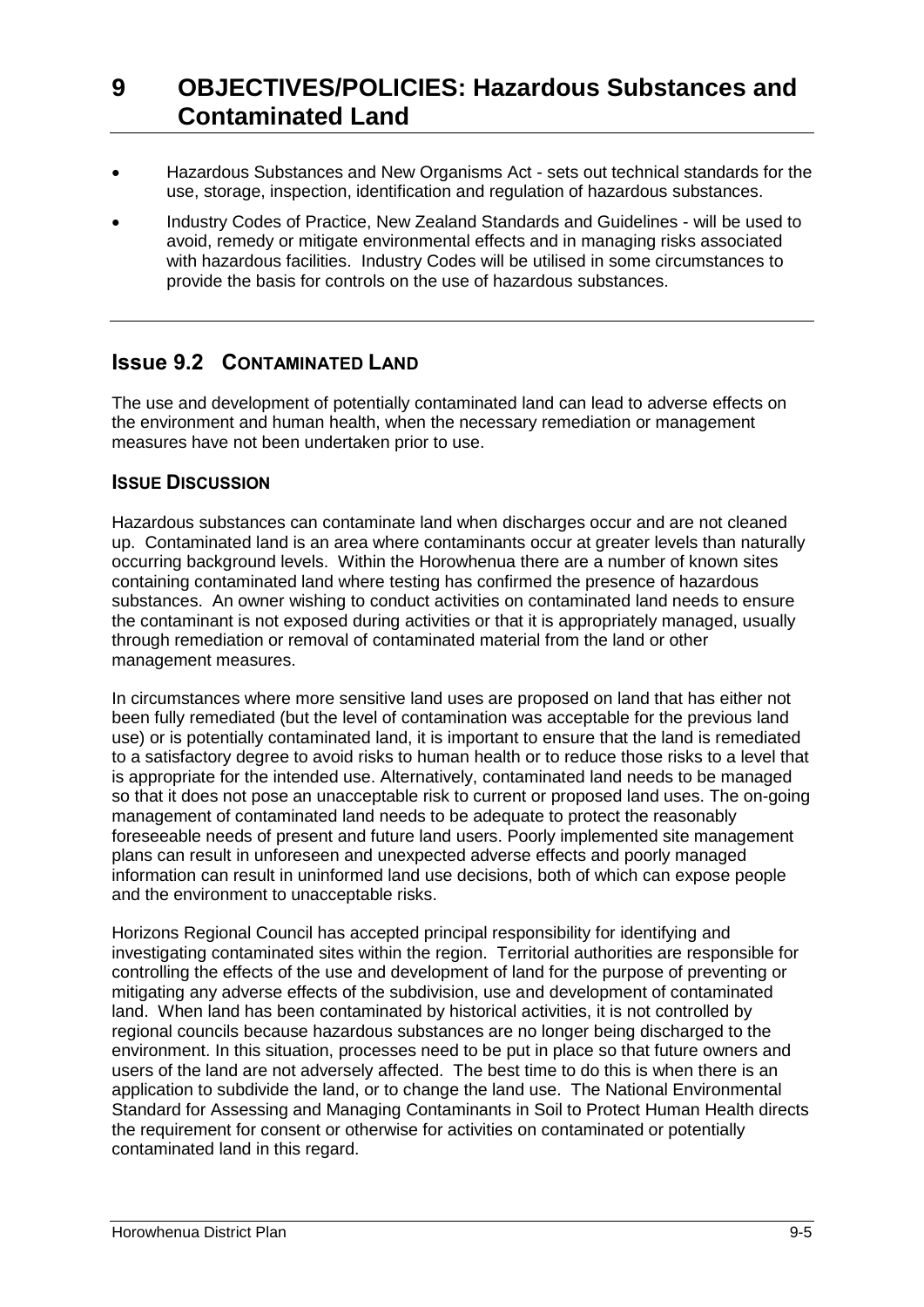- Hazardous Substances and New Organisms Act sets out technical standards for the use, storage, inspection, identification and regulation of hazardous substances.
- Industry Codes of Practice, New Zealand Standards and Guidelines will be used to avoid, remedy or mitigate environmental effects and in managing risks associated with hazardous facilities. Industry Codes will be utilised in some circumstances to provide the basis for controls on the use of hazardous substances.

## **Issue 9.2 CONTAMINATED LAND**

The use and development of potentially contaminated land can lead to adverse effects on the environment and human health, when the necessary remediation or management measures have not been undertaken prior to use.

## **ISSUE DISCUSSION**

Hazardous substances can contaminate land when discharges occur and are not cleaned up. Contaminated land is an area where contaminants occur at greater levels than naturally occurring background levels. Within the Horowhenua there are a number of known sites containing contaminated land where testing has confirmed the presence of hazardous substances. An owner wishing to conduct activities on contaminated land needs to ensure the contaminant is not exposed during activities or that it is appropriately managed, usually through remediation or removal of contaminated material from the land or other management measures.

In circumstances where more sensitive land uses are proposed on land that has either not been fully remediated (but the level of contamination was acceptable for the previous land use) or is potentially contaminated land, it is important to ensure that the land is remediated to a satisfactory degree to avoid risks to human health or to reduce those risks to a level that is appropriate for the intended use. Alternatively, contaminated land needs to be managed so that it does not pose an unacceptable risk to current or proposed land uses. The on-going management of contaminated land needs to be adequate to protect the reasonably foreseeable needs of present and future land users. Poorly implemented site management plans can result in unforeseen and unexpected adverse effects and poorly managed information can result in uninformed land use decisions, both of which can expose people and the environment to unacceptable risks.

Horizons Regional Council has accepted principal responsibility for identifying and investigating contaminated sites within the region. Territorial authorities are responsible for controlling the effects of the use and development of land for the purpose of preventing or mitigating any adverse effects of the subdivision, use and development of contaminated land. When land has been contaminated by historical activities, it is not controlled by regional councils because hazardous substances are no longer being discharged to the environment. In this situation, processes need to be put in place so that future owners and users of the land are not adversely affected. The best time to do this is when there is an application to subdivide the land, or to change the land use. The National Environmental Standard for Assessing and Managing Contaminants in Soil to Protect Human Health directs the requirement for consent or otherwise for activities on contaminated or potentially contaminated land in this regard.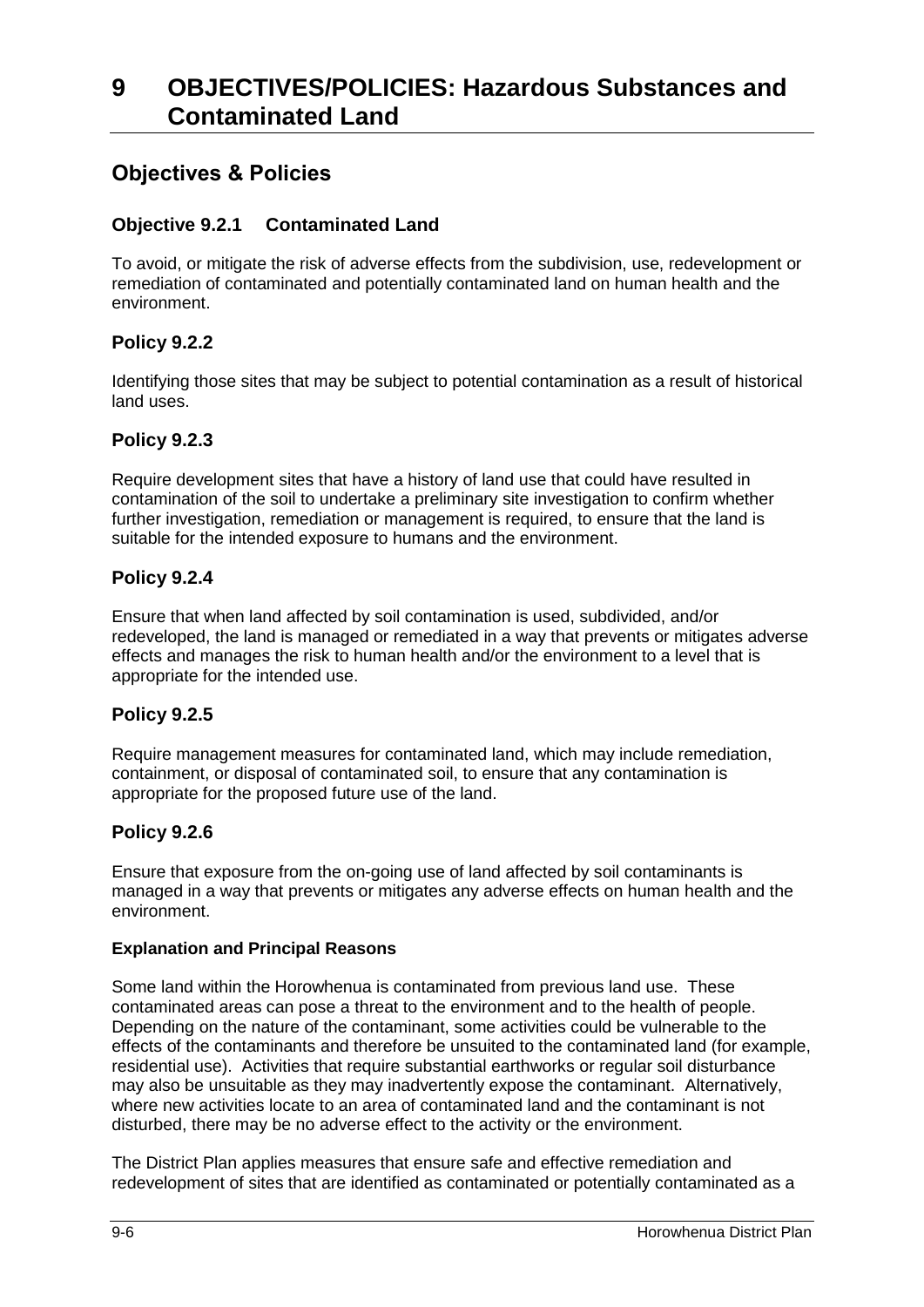## **Objectives & Policies**

### **Objective 9.2.1 Contaminated Land**

To avoid, or mitigate the risk of adverse effects from the subdivision, use, redevelopment or remediation of contaminated and potentially contaminated land on human health and the environment.

### **Policy 9.2.2**

Identifying those sites that may be subject to potential contamination as a result of historical land uses.

### **Policy 9.2.3**

Require development sites that have a history of land use that could have resulted in contamination of the soil to undertake a preliminary site investigation to confirm whether further investigation, remediation or management is required, to ensure that the land is suitable for the intended exposure to humans and the environment.

### **Policy 9.2.4**

Ensure that when land affected by soil contamination is used, subdivided, and/or redeveloped, the land is managed or remediated in a way that prevents or mitigates adverse effects and manages the risk to human health and/or the environment to a level that is appropriate for the intended use.

#### **Policy 9.2.5**

Require management measures for contaminated land, which may include remediation, containment, or disposal of contaminated soil, to ensure that any contamination is appropriate for the proposed future use of the land.

### **Policy 9.2.6**

Ensure that exposure from the on-going use of land affected by soil contaminants is managed in a way that prevents or mitigates any adverse effects on human health and the environment.

#### **Explanation and Principal Reasons**

Some land within the Horowhenua is contaminated from previous land use. These contaminated areas can pose a threat to the environment and to the health of people. Depending on the nature of the contaminant, some activities could be vulnerable to the effects of the contaminants and therefore be unsuited to the contaminated land (for example, residential use). Activities that require substantial earthworks or regular soil disturbance may also be unsuitable as they may inadvertently expose the contaminant. Alternatively, where new activities locate to an area of contaminated land and the contaminant is not disturbed, there may be no adverse effect to the activity or the environment.

The District Plan applies measures that ensure safe and effective remediation and redevelopment of sites that are identified as contaminated or potentially contaminated as a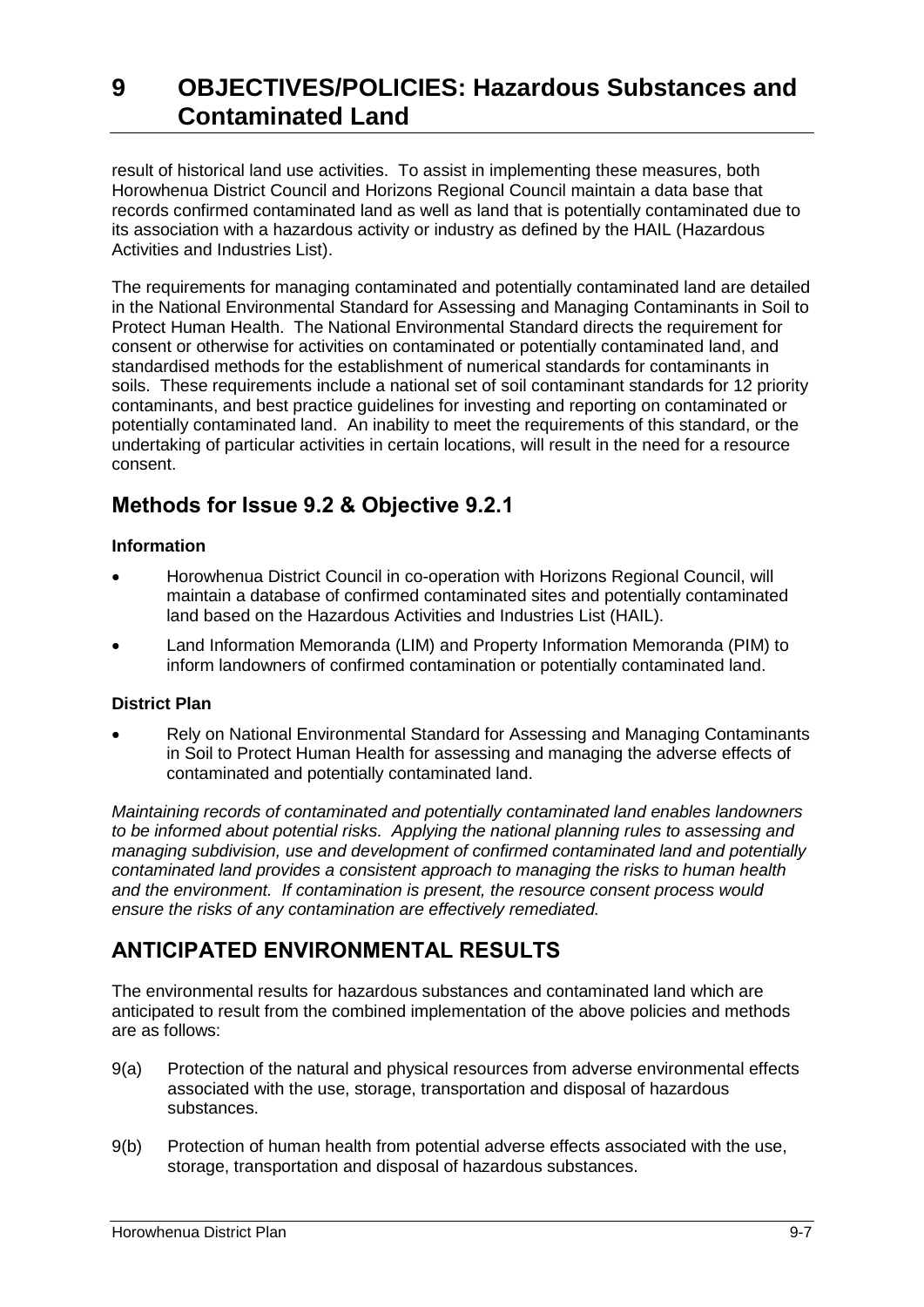result of historical land use activities. To assist in implementing these measures, both Horowhenua District Council and Horizons Regional Council maintain a data base that records confirmed contaminated land as well as land that is potentially contaminated due to its association with a hazardous activity or industry as defined by the HAIL (Hazardous Activities and Industries List).

The requirements for managing contaminated and potentially contaminated land are detailed in the National Environmental Standard for Assessing and Managing Contaminants in Soil to Protect Human Health. The National Environmental Standard directs the requirement for consent or otherwise for activities on contaminated or potentially contaminated land, and standardised methods for the establishment of numerical standards for contaminants in soils. These requirements include a national set of soil contaminant standards for 12 priority contaminants, and best practice guidelines for investing and reporting on contaminated or potentially contaminated land. An inability to meet the requirements of this standard, or the undertaking of particular activities in certain locations, will result in the need for a resource consent.

# **Methods for Issue 9.2 & Objective 9.2.1**

### **Information**

- Horowhenua District Council in co-operation with Horizons Regional Council, will maintain a database of confirmed contaminated sites and potentially contaminated land based on the Hazardous Activities and Industries List (HAIL).
- Land Information Memoranda (LIM) and Property Information Memoranda (PIM) to inform landowners of confirmed contamination or potentially contaminated land.

## **District Plan**

 Rely on National Environmental Standard for Assessing and Managing Contaminants in Soil to Protect Human Health for assessing and managing the adverse effects of contaminated and potentially contaminated land.

*Maintaining records of contaminated and potentially contaminated land enables landowners to be informed about potential risks. Applying the national planning rules to assessing and managing subdivision, use and development of confirmed contaminated land and potentially contaminated land provides a consistent approach to managing the risks to human health and the environment. If contamination is present, the resource consent process would ensure the risks of any contamination are effectively remediated.* 

# **ANTICIPATED ENVIRONMENTAL RESULTS**

The environmental results for hazardous substances and contaminated land which are anticipated to result from the combined implementation of the above policies and methods are as follows:

- 9(a) Protection of the natural and physical resources from adverse environmental effects associated with the use, storage, transportation and disposal of hazardous substances.
- 9(b) Protection of human health from potential adverse effects associated with the use, storage, transportation and disposal of hazardous substances.